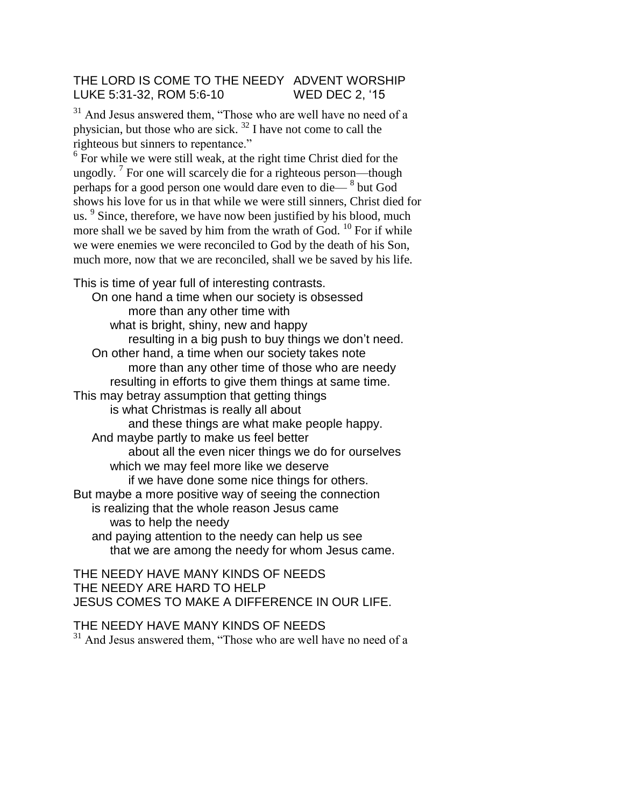## THE LORD IS COME TO THE NEEDY ADVENT WORSHIP LUKE 5:31-32, ROM 5:6-10 WED DEC 2, '15

<sup>31</sup> And Jesus answered them, "Those who are well have no need of a physician, but those who are sick.  $32$  I have not come to call the righteous but sinners to repentance."

 $6$  For while we were still weak, at the right time Christ died for the ungodly. <sup>7</sup> For one will scarcely die for a righteous person—though perhaps for a good person one would dare even to die— <sup>8</sup> but God shows his love for us in that while we were still sinners, Christ died for us.  $9$  Since, therefore, we have now been justified by his blood, much more shall we be saved by him from the wrath of God. <sup>10</sup> For if while we were enemies we were reconciled to God by the death of his Son, much more, now that we are reconciled, shall we be saved by his life.

This is time of year full of interesting contrasts. On one hand a time when our society is obsessed more than any other time with what is bright, shiny, new and happy resulting in a big push to buy things we don't need. On other hand, a time when our society takes note more than any other time of those who are needy resulting in efforts to give them things at same time. This may betray assumption that getting things is what Christmas is really all about and these things are what make people happy. And maybe partly to make us feel better about all the even nicer things we do for ourselves which we may feel more like we deserve if we have done some nice things for others. But maybe a more positive way of seeing the connection is realizing that the whole reason Jesus came was to help the needy and paying attention to the needy can help us see that we are among the needy for whom Jesus came.

## THE NEEDY HAVE MANY KINDS OF NEEDS THE NEEDY ARE HARD TO HELP JESUS COMES TO MAKE A DIFFERENCE IN OUR LIFE.

THE NEEDY HAVE MANY KINDS OF NEEDS <sup>31</sup> And Jesus answered them, "Those who are well have no need of a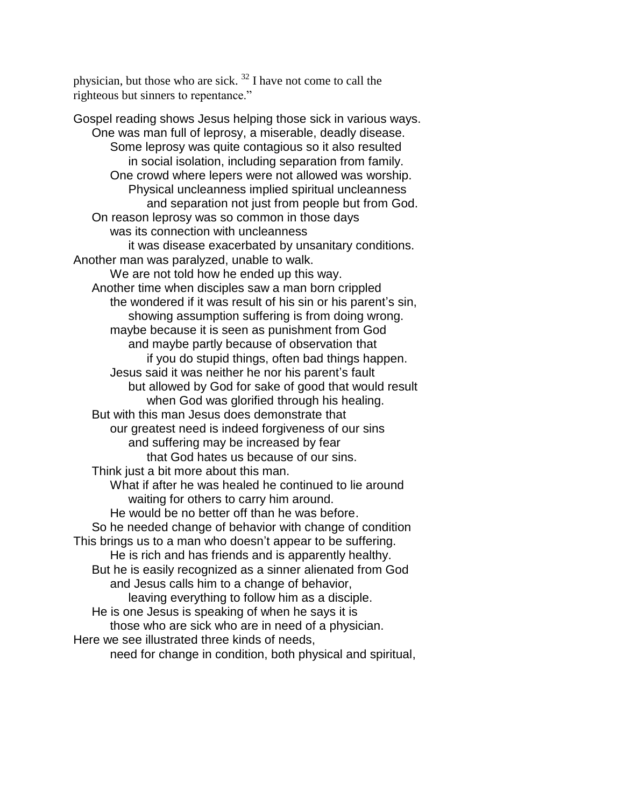physician, but those who are sick.  $32$  I have not come to call the righteous but sinners to repentance."

Gospel reading shows Jesus helping those sick in various ways. One was man full of leprosy, a miserable, deadly disease. Some leprosy was quite contagious so it also resulted in social isolation, including separation from family. One crowd where lepers were not allowed was worship. Physical uncleanness implied spiritual uncleanness and separation not just from people but from God. On reason leprosy was so common in those days was its connection with uncleanness it was disease exacerbated by unsanitary conditions. Another man was paralyzed, unable to walk. We are not told how he ended up this way. Another time when disciples saw a man born crippled the wondered if it was result of his sin or his parent's sin, showing assumption suffering is from doing wrong. maybe because it is seen as punishment from God and maybe partly because of observation that if you do stupid things, often bad things happen. Jesus said it was neither he nor his parent's fault but allowed by God for sake of good that would result when God was glorified through his healing. But with this man Jesus does demonstrate that our greatest need is indeed forgiveness of our sins and suffering may be increased by fear that God hates us because of our sins. Think just a bit more about this man. What if after he was healed he continued to lie around waiting for others to carry him around. He would be no better off than he was before. So he needed change of behavior with change of condition This brings us to a man who doesn't appear to be suffering. He is rich and has friends and is apparently healthy. But he is easily recognized as a sinner alienated from God and Jesus calls him to a change of behavior, leaving everything to follow him as a disciple. He is one Jesus is speaking of when he says it is those who are sick who are in need of a physician. Here we see illustrated three kinds of needs, need for change in condition, both physical and spiritual,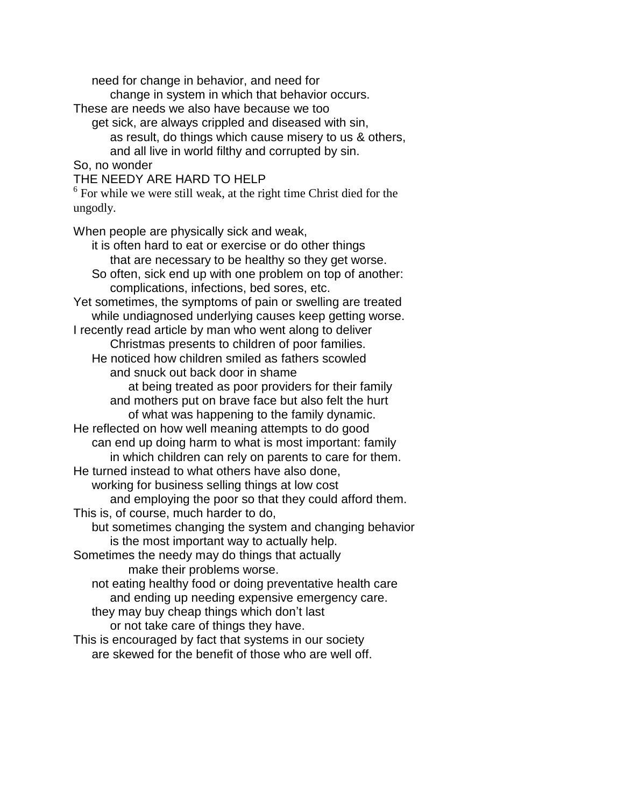need for change in behavior, and need for

change in system in which that behavior occurs.

These are needs we also have because we too

get sick, are always crippled and diseased with sin, as result, do things which cause misery to us & others, and all live in world filthy and corrupted by sin.

So, no wonder

THE NEEDY ARE HARD TO HELP

 $6$  For while we were still weak, at the right time Christ died for the ungodly.

When people are physically sick and weak,

it is often hard to eat or exercise or do other things that are necessary to be healthy so they get worse. So often, sick end up with one problem on top of another: complications, infections, bed sores, etc. Yet sometimes, the symptoms of pain or swelling are treated while undiagnosed underlying causes keep getting worse. I recently read article by man who went along to deliver Christmas presents to children of poor families. He noticed how children smiled as fathers scowled and snuck out back door in shame at being treated as poor providers for their family and mothers put on brave face but also felt the hurt of what was happening to the family dynamic. He reflected on how well meaning attempts to do good can end up doing harm to what is most important: family in which children can rely on parents to care for them. He turned instead to what others have also done, working for business selling things at low cost and employing the poor so that they could afford them. This is, of course, much harder to do, but sometimes changing the system and changing behavior is the most important way to actually help. Sometimes the needy may do things that actually make their problems worse. not eating healthy food or doing preventative health care and ending up needing expensive emergency care. they may buy cheap things which don't last or not take care of things they have. This is encouraged by fact that systems in our society are skewed for the benefit of those who are well off.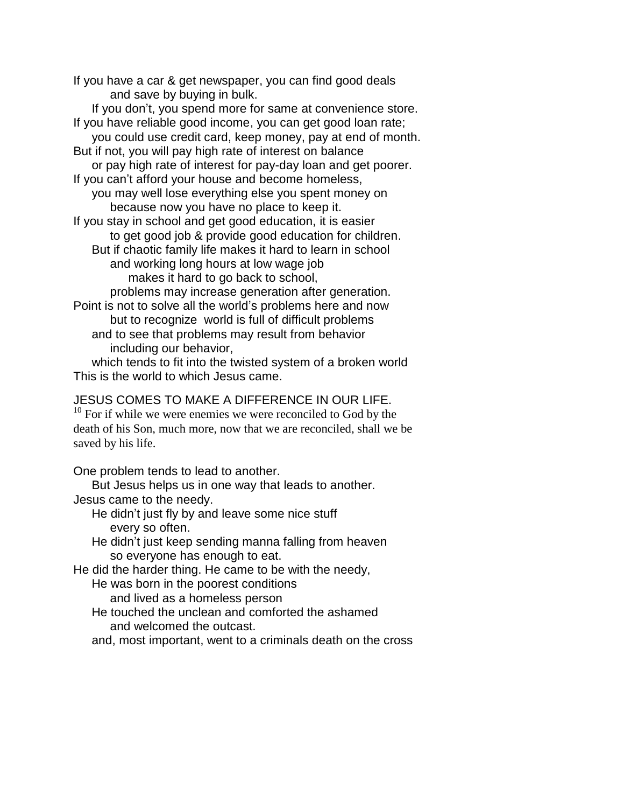If you have a car & get newspaper, you can find good deals and save by buying in bulk.

If you don't, you spend more for same at convenience store. If you have reliable good income, you can get good loan rate; you could use credit card, keep money, pay at end of month. But if not, you will pay high rate of interest on balance or pay high rate of interest for pay-day loan and get poorer. If you can't afford your house and become homeless, you may well lose everything else you spent money on because now you have no place to keep it. If you stay in school and get good education, it is easier to get good job & provide good education for children. But if chaotic family life makes it hard to learn in school and working long hours at low wage job makes it hard to go back to school, problems may increase generation after generation. Point is not to solve all the world's problems here and now but to recognize world is full of difficult problems and to see that problems may result from behavior including our behavior,

which tends to fit into the twisted system of a broken world This is the world to which Jesus came.

JESUS COMES TO MAKE A DIFFERENCE IN OUR LIFE.

 $10$  For if while we were enemies we were reconciled to God by the death of his Son, much more, now that we are reconciled, shall we be saved by his life.

One problem tends to lead to another.

But Jesus helps us in one way that leads to another.

Jesus came to the needy.

- He didn't just fly by and leave some nice stuff every so often.
- He didn't just keep sending manna falling from heaven so everyone has enough to eat.

He did the harder thing. He came to be with the needy,

He was born in the poorest conditions

and lived as a homeless person

- He touched the unclean and comforted the ashamed and welcomed the outcast.
- and, most important, went to a criminals death on the cross